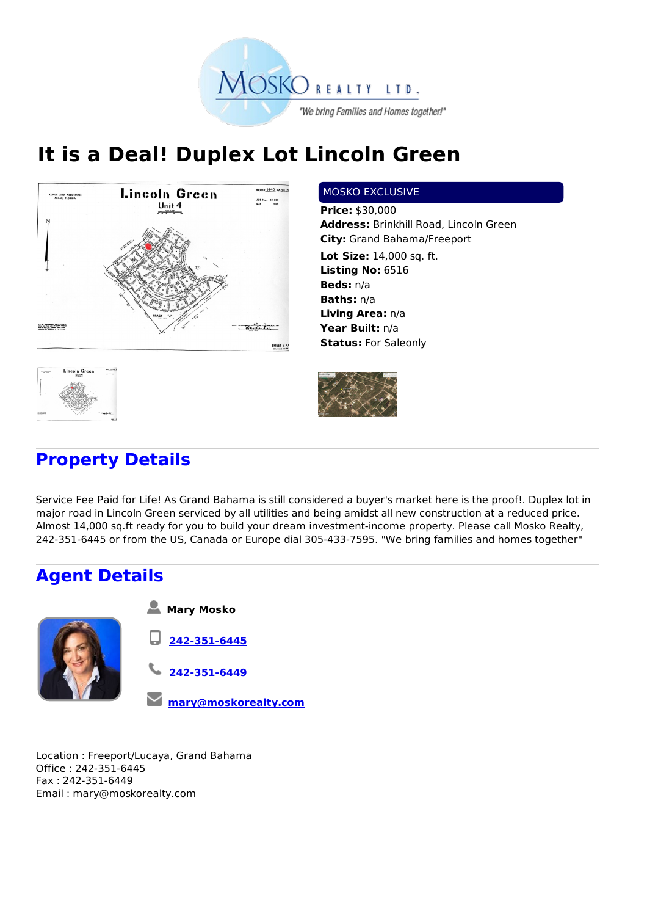

## **It is a Deal! Duplex Lot Lincoln Green**



## MOSKO EXCLUSIVE

**Price:** \$30,000 **Address:** Brinkhill Road, Lincoln Green **City:** Grand Bahama/Freeport **Lot Size:** 14,000 sq. ft. **Listing No:** 6516 **Beds:** n/a **Baths:** n/a **Living Area:** n/a **Year Built:** n/a **Status:** For Saleonly



## **Property Details**

Service Fee Paid for Life! As Grand Bahama is still considered a buyer's market here is the proof!. Duplex lot in major road in Lincoln Green serviced by all utilities and being amidst all new construction at a reduced price. Almost 14,000 sq.ft ready for you to build your dream investment-income property. Please call Mosko Realty, 242-351-6445 or from the US, Canada or Europe dial 305-433-7595. "We bring families and homes together"

## **Agent Details**



Location : Freeport/Lucaya, Grand Bahama Office : 242-351-6445 Fax : 242-351-6449 Email : mary@moskorealty.com